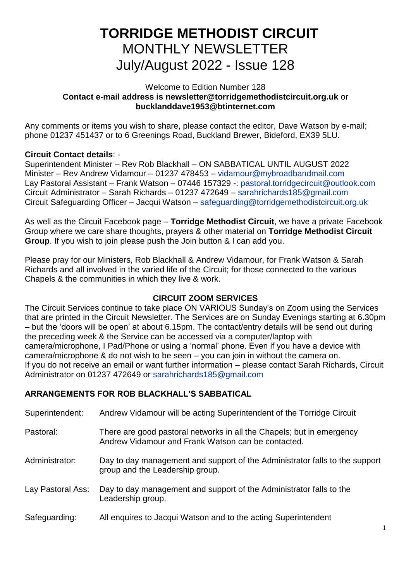# **TORRIDGE METHODIST CIRCUIT** MONTHLY NEWSLETTER July/August 2022 - Issue 128

#### Welcome to Edition Number 128 **Contact e-mail address is [newsletter@torridgemethodistcircuit.org.uk](mailto:newsletter@torridgemethodistcircuit.org.uk)** or **bucklanddave1953@btinternet.com**

Any comments or items you wish to share, please contact the editor, Dave Watson by e-mail; phone 01237 451437 or to 6 Greenings Road, Buckland Brewer, Bideford, EX39 5LU.

### **Circuit Contact details**: -

Superintendent Minister – Rev Rob Blackhall – ON SABBATICAL UNTIL AUGUST 2022 Minister – Rev Andrew Vidamour – 01237 478453 – [vidamour@mybroadbandmail.com](mailto:vidamour@mybroadbandmail.com) Lay Pastoral Assistant – Frank Watson – 07446 157329 -: [pastoral.torridgecircuit@outlook.com](mailto:pastoral.torridgecircuit@outlook.com) Circuit Administrator – Sarah Richards – 01237 472649 – [sarahrichards185@gmail.com](mailto:sarahrichards185@gmail.com) Circuit Safeguarding Officer – Jacqui Watson – [safeguarding@torridgemethodistcircuit.org.uk](mailto:safeguarding@torridgemethodistcircuit.org.uk)

As well as the Circuit Facebook page – **Torridge Methodist Circuit**, we have a private Facebook Group where we care share thoughts, prayers & other material on **Torridge Methodist Circuit Group**. If you wish to join please push the Join button & I can add you.

Please pray for our Ministers, Rob Blackhall & Andrew Vidamour, for Frank Watson & Sarah Richards and all involved in the varied life of the Circuit; for those connected to the various Chapels & the communities in which they live & work.

### **CIRCUIT ZOOM SERVICES**

The Circuit Services continue to take place ON VARIOUS Sunday's on Zoom using the Services that are printed in the Circuit Newsletter. The Services are on Sunday Evenings starting at 6.30pm – but the 'doors will be open' at about 6.15pm. The contact/entry details will be send out during the preceding week & the Service can be accessed via a computer/laptop with camera/microphone, I Pad/Phone or using a 'normal' phone. Even if you have a device with camera/microphone & do not wish to be seen – you can join in without the camera on. If you do not receive an email or want further information – please contact Sarah Richards, Circuit Administrator on 01237 472649 or [sarahrichards185@gmail.com](mailto:sarahrichards185@gmail.com)

### **ARRANGEMENTS FOR ROB BLACKHALL'S SABBATICAL**

| Superintendent:   | Andrew Vidamour will be acting Superintendent of the Torridge Circuit                                                       |
|-------------------|-----------------------------------------------------------------------------------------------------------------------------|
| Pastoral:         | There are good pastoral networks in all the Chapels; but in emergency<br>Andrew Vidamour and Frank Watson can be contacted. |
| Administrator:    | Day to day management and support of the Administrator falls to the support<br>group and the Leadership group.              |
| Lay Pastoral Ass: | Day to day management and support of the Administrator falls to the<br>Leadership group.                                    |
| Safeguarding:     | All enquires to Jacqui Watson and to the acting Superintendent                                                              |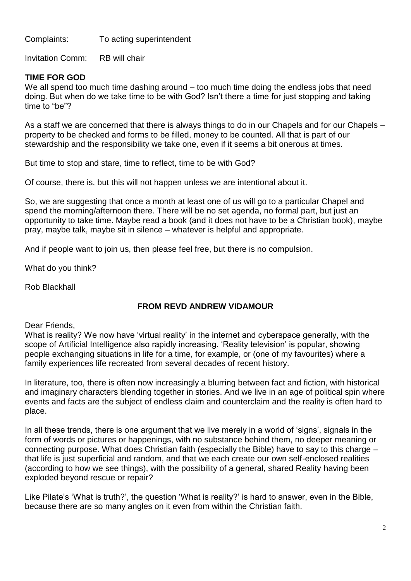Complaints: To acting superintendent

Invitation Comm: RB will chair

### **TIME FOR GOD**

We all spend too much time dashing around – too much time doing the endless jobs that need doing. But when do we take time to be with God? Isn't there a time for just stopping and taking time to "be"?

As a staff we are concerned that there is always things to do in our Chapels and for our Chapels – property to be checked and forms to be filled, money to be counted. All that is part of our stewardship and the responsibility we take one, even if it seems a bit onerous at times.

But time to stop and stare, time to reflect, time to be with God?

Of course, there is, but this will not happen unless we are intentional about it.

So, we are suggesting that once a month at least one of us will go to a particular Chapel and spend the morning/afternoon there. There will be no set agenda, no formal part, but just an opportunity to take time. Maybe read a book (and it does not have to be a Christian book), maybe pray, maybe talk, maybe sit in silence – whatever is helpful and appropriate.

And if people want to join us, then please feel free, but there is no compulsion.

What do you think?

Rob Blackhall

### **FROM REVD ANDREW VIDAMOUR**

#### Dear Friends,

What is reality? We now have 'virtual reality' in the internet and cyberspace generally, with the scope of Artificial Intelligence also rapidly increasing. 'Reality television' is popular, showing people exchanging situations in life for a time, for example, or (one of my favourites) where a family experiences life recreated from several decades of recent history.

In literature, too, there is often now increasingly a blurring between fact and fiction, with historical and imaginary characters blending together in stories. And we live in an age of political spin where events and facts are the subject of endless claim and counterclaim and the reality is often hard to place.

In all these trends, there is one argument that we live merely in a world of 'signs', signals in the form of words or pictures or happenings, with no substance behind them, no deeper meaning or connecting purpose. What does Christian faith (especially the Bible) have to say to this charge – that life is just superficial and random, and that we each create our own self-enclosed realities (according to how we see things), with the possibility of a general, shared Reality having been exploded beyond rescue or repair?

Like Pilate's 'What is truth?', the question 'What is reality?' is hard to answer, even in the Bible, because there are so many angles on it even from within the Christian faith.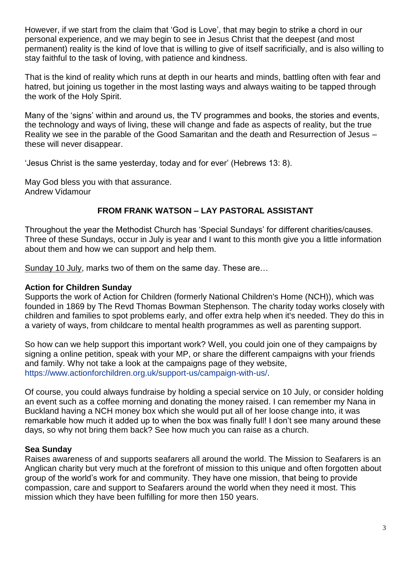However, if we start from the claim that 'God is Love', that may begin to strike a chord in our personal experience, and we may begin to see in Jesus Christ that the deepest (and most permanent) reality is the kind of love that is willing to give of itself sacrificially, and is also willing to stay faithful to the task of loving, with patience and kindness.

That is the kind of reality which runs at depth in our hearts and minds, battling often with fear and hatred, but joining us together in the most lasting ways and always waiting to be tapped through the work of the Holy Spirit.

Many of the 'signs' within and around us, the TV programmes and books, the stories and events, the technology and ways of living, these will change and fade as aspects of reality, but the true Reality we see in the parable of the Good Samaritan and the death and Resurrection of Jesus – these will never disappear.

'Jesus Christ is the same yesterday, today and for ever' (Hebrews 13: 8).

May God bless you with that assurance. Andrew Vidamour

### **FROM FRANK WATSON – LAY PASTORAL ASSISTANT**

Throughout the year the Methodist Church has 'Special Sundays' for different charities/causes. Three of these Sundays, occur in July is year and I want to this month give you a little information about them and how we can support and help them.

Sunday 10 July, marks two of them on the same day. These are…

### **Action for Children Sunday**

Supports the work of Action for Children (formerly National Children's Home (NCH)), which was founded in 1869 by The Revd Thomas Bowman Stephenson. The charity today works closely with children and families to spot problems early, and offer extra help when it's needed. They do this in a variety of ways, from childcare to mental health programmes as well as parenting support.

So how can we help support this important work? Well, you could join one of they campaigns by signing a online petition, speak with your MP, or share the different campaigns with your friends and family. Why not take a look at the campaigns page of they website, [https://www.actionforchildren.org.uk/support-us/campaign-with-us/.](https://www.actionforchildren.org.uk/support-us/campaign-with-us/)

Of course, you could always fundraise by holding a special service on 10 July, or consider holding an event such as a coffee morning and donating the money raised. I can remember my Nana in Buckland having a NCH money box which she would put all of her loose change into, it was remarkable how much it added up to when the box was finally full! I don't see many around these days, so why not bring them back? See how much you can raise as a church.

### **Sea Sunday**

Raises awareness of and supports seafarers all around the world. The Mission to Seafarers is an Anglican charity but very much at the forefront of mission to this unique and often forgotten about group of the world's work for and community. They have one mission, that being to provide compassion, care and support to Seafarers around the world when they need it most. This mission which they have been fulfilling for more then 150 years.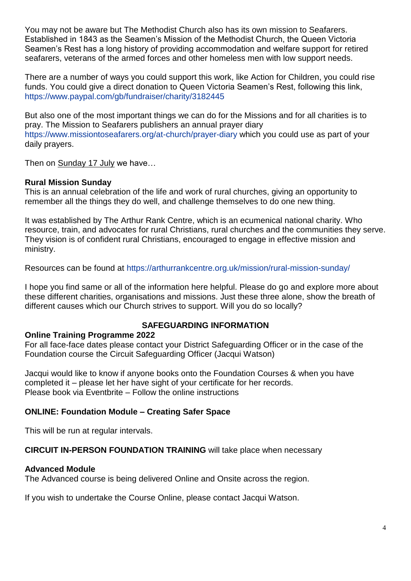You may not be aware but The Methodist Church also has its own mission to Seafarers. Established in 1843 as the Seamen's Mission of the Methodist Church, the Queen Victoria Seamen's Rest has a long history of providing accommodation and welfare support for retired seafarers, veterans of the armed forces and other homeless men with low support needs.

There are a number of ways you could support this work, like Action for Children, you could rise funds. You could give a direct donation to Queen Victoria Seamen's Rest, following this link, <https://www.paypal.com/gb/fundraiser/charity/3182445>

But also one of the most important things we can do for the Missions and for all charities is to pray. The Mission to Seafarers publishers an annual prayer diary <https://www.missiontoseafarers.org/at-church/prayer-diary> which you could use as part of your daily prayers.

Then on Sunday 17 July we have…

#### **Rural Mission Sunday**

This is an annual celebration of the life and work of rural churches, giving an opportunity to remember all the things they do well, and challenge themselves to do one new thing.

It was established by The Arthur Rank Centre, which is an ecumenical national charity. Who resource, train, and advocates for rural Christians, rural churches and the communities they serve. They vision is of confident rural Christians, encouraged to engage in effective mission and ministry.

Resources can be found at<https://arthurrankcentre.org.uk/mission/rural-mission-sunday/>

I hope you find same or all of the information here helpful. Please do go and explore more about these different charities, organisations and missions. Just these three alone, show the breath of different causes which our Church strives to support. Will you do so locally?

## **SAFEGUARDING INFORMATION**

#### **Online Training Programme 2022**

For all face-face dates please contact your District Safeguarding Officer or in the case of the Foundation course the Circuit Safeguarding Officer (Jacqui Watson)

Jacqui would like to know if anyone books onto the Foundation Courses & when you have completed it – please let her have sight of your certificate for her records. Please book via Eventbrite – Follow the online instructions

#### **ONLINE: Foundation Module – Creating Safer Space**

This will be run at regular intervals.

#### **CIRCUIT IN-PERSON FOUNDATION TRAINING** will take place when necessary

#### **Advanced Module**

The Advanced course is being delivered Online and Onsite across the region.

If you wish to undertake the Course Online, please contact Jacqui Watson.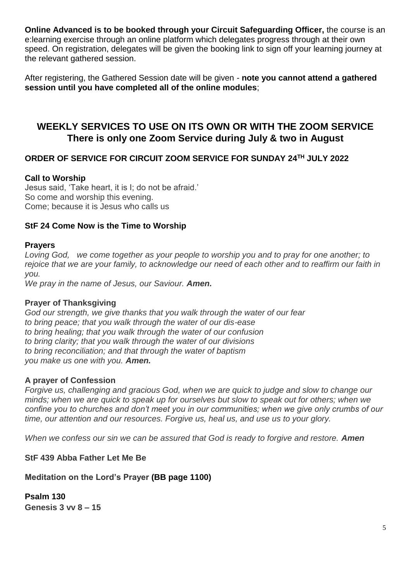**Online Advanced is to be booked through your Circuit Safeguarding Officer,** the course is an e:learning exercise through an online platform which delegates progress through at their own speed. On registration, delegates will be given the booking link to sign off your learning journey at the relevant gathered session.

After registering, the Gathered Session date will be given - **note you cannot attend a gathered session until you have completed all of the online modules**;

# **WEEKLY SERVICES TO USE ON ITS OWN OR WITH THE ZOOM SERVICE There is only one Zoom Service during July & two in August**

### **ORDER OF SERVICE FOR CIRCUIT ZOOM SERVICE FOR SUNDAY 24TH JULY 2022**

### **Call to Worship**

Jesus said, 'Take heart, it is I; do not be afraid.' So come and worship this evening. Come; because it is Jesus who calls us

### **StF 24 Come Now is the Time to Worship**

#### **Prayers**

*Loving God, we come together as your people to worship you and to pray for one another; to rejoice that we are your family, to acknowledge our need of each other and to reaffirm our faith in you.* 

*We pray in the name of Jesus, our Saviour. Amen.*

#### **Prayer of Thanksgiving**

*God our strength, we give thanks that you walk through the water of our fear to bring peace; that you walk through the water of our dis-ease to bring healing; that you walk through the water of our confusion to bring clarity; that you walk through the water of our divisions to bring reconciliation; and that through the water of baptism you make us one with you. Amen.*

#### **A prayer of Confession**

*Forgive us, challenging and gracious God, when we are quick to judge and slow to change our minds; when we are quick to speak up for ourselves but slow to speak out for others; when we confine you to churches and don't meet you in our communities; when we give only crumbs of our time, our attention and our resources. Forgive us, heal us, and use us to your glory.*

*When we confess our sin we can be assured that God is ready to forgive and restore. Amen* 

### **StF 439 Abba Father Let Me Be**

### **Meditation on the Lord's Prayer (BB page 1100)**

**Psalm 130 Genesis 3 vv 8 – 15**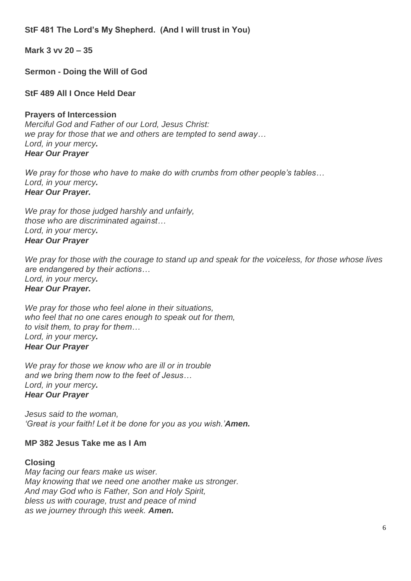**StF 481 The Lord's My Shepherd. (And I will trust in You)**

**Mark 3 vv 20 – 35**

**Sermon - Doing the Will of God**

**StF 489 All I Once Held Dear**

**Prayers of Intercession**

*Merciful God and Father of our Lord, Jesus Christ: we pray for those that we and others are tempted to send away… Lord, in your mercy. Hear Our Prayer*

*We pray for those who have to make do with crumbs from other people's tables… Lord, in your mercy. Hear Our Prayer.*

*We pray for those judged harshly and unfairly, those who are discriminated against… Lord, in your mercy. Hear Our Prayer*

*We pray for those with the courage to stand up and speak for the voiceless, for those whose lives are endangered by their actions… Lord, in your mercy. Hear Our Prayer.*

*We pray for those who feel alone in their situations, who feel that no one cares enough to speak out for them, to visit them, to pray for them… Lord, in your mercy. Hear Our Prayer*

*We pray for those we know who are ill or in trouble and we bring them now to the feet of Jesus… Lord, in your mercy. Hear Our Prayer*

*Jesus said to the woman, 'Great is your faith! Let it be done for you as you wish.'Amen.*

### **MP 382 Jesus Take me as I Am**

### **Closing**

*May facing our fears make us wiser. May knowing that we need one another make us stronger. And may God who is Father, Son and Holy Spirit, bless us with courage, trust and peace of mind as we journey through this week. Amen.*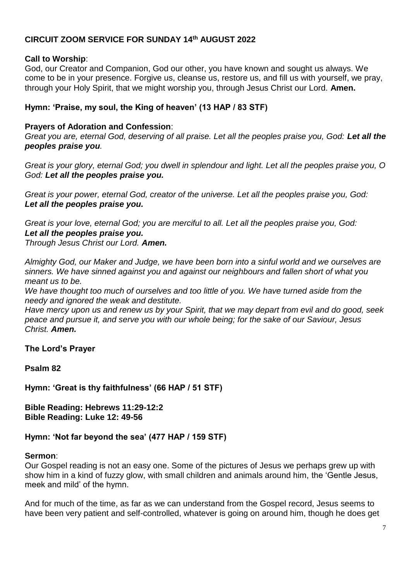### **CIRCUIT ZOOM SERVICE FOR SUNDAY 14th AUGUST 2022**

### **Call to Worship**:

God, our Creator and Companion, God our other, you have known and sought us always. We come to be in your presence. Forgive us, cleanse us, restore us, and fill us with yourself, we pray, through your Holy Spirit, that we might worship you, through Jesus Christ our Lord. **Amen.**

### **Hymn: 'Praise, my soul, the King of heaven' (13 HAP / 83 STF)**

### **Prayers of Adoration and Confession**:

*Great you are, eternal God, deserving of all praise. Let all the peoples praise you, God: Let all the peoples praise you.*

*Great is your glory, eternal God; you dwell in splendour and light. Let all the peoples praise you, O God: Let all the peoples praise you.*

*Great is your power, eternal God, creator of the universe. Let all the peoples praise you, God: Let all the peoples praise you.*

*Great is your love, eternal God; you are merciful to all. Let all the peoples praise you, God: Let all the peoples praise you. Through Jesus Christ our Lord. Amen.*

*Almighty God, our Maker and Judge, we have been born into a sinful world and we ourselves are sinners. We have sinned against you and against our neighbours and fallen short of what you meant us to be.* 

*We have thought too much of ourselves and too little of you. We have turned aside from the needy and ignored the weak and destitute.* 

*Have mercy upon us and renew us by your Spirit, that we may depart from evil and do good, seek peace and pursue it, and serve you with our whole being; for the sake of our Saviour, Jesus Christ. Amen.*

#### **The Lord's Prayer**

**Psalm 82**

**Hymn: 'Great is thy faithfulness' (66 HAP / 51 STF)**

**Bible Reading: Hebrews 11:29-12:2 Bible Reading: Luke 12: 49-56**

#### **Hymn: 'Not far beyond the sea' (477 HAP / 159 STF)**

#### **Sermon**:

Our Gospel reading is not an easy one. Some of the pictures of Jesus we perhaps grew up with show him in a kind of fuzzy glow, with small children and animals around him, the 'Gentle Jesus, meek and mild' of the hymn.

And for much of the time, as far as we can understand from the Gospel record, Jesus seems to have been very patient and self-controlled, whatever is going on around him, though he does get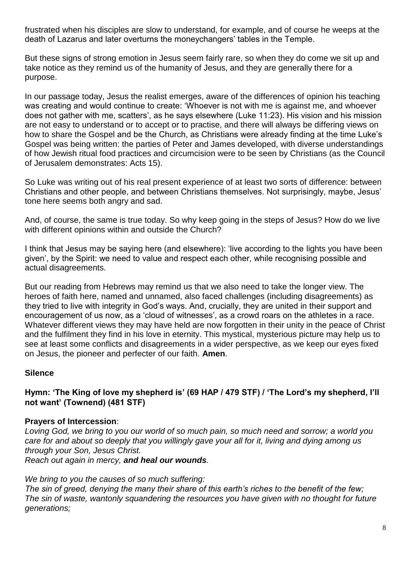frustrated when his disciples are slow to understand, for example, and of course he weeps at the death of Lazarus and later overturns the moneychangers' tables in the Temple.

But these signs of strong emotion in Jesus seem fairly rare, so when they do come we sit up and take notice as they remind us of the humanity of Jesus, and they are generally there for a purpose.

In our passage today, Jesus the realist emerges, aware of the differences of opinion his teaching was creating and would continue to create: 'Whoever is not with me is against me, and whoever does not gather with me, scatters', as he says elsewhere (Luke 11:23). His vision and his mission are not easy to understand or to accept or to practise, and there will always be differing views on how to share the Gospel and be the Church, as Christians were already finding at the time Luke's Gospel was being written: the parties of Peter and James developed, with diverse understandings of how Jewish ritual food practices and circumcision were to be seen by Christians (as the Council of Jerusalem demonstrates: Acts 15).

So Luke was writing out of his real present experience of at least two sorts of difference: between Christians and other people, and between Christians themselves. Not surprisingly, maybe, Jesus' tone here seems both angry and sad.

And, of course, the same is true today. So why keep going in the steps of Jesus? How do we live with different opinions within and outside the Church?

I think that Jesus may be saying here (and elsewhere): 'live according to the lights you have been given', by the Spirit: we need to value and respect each other, while recognising possible and actual disagreements.

But our reading from Hebrews may remind us that we also need to take the longer view. The heroes of faith here, named and unnamed, also faced challenges (including disagreements) as they tried to live with integrity in God's ways. And, crucially, they are united in their support and encouragement of us now, as a 'cloud of witnesses', as a crowd roars on the athletes in a race. Whatever different views they may have held are now forgotten in their unity in the peace of Christ and the fulfilment they find in his love in eternity. This mystical, mysterious picture may help us to see at least some conflicts and disagreements in a wider perspective, as we keep our eyes fixed on Jesus, the pioneer and perfecter of our faith. **Amen**.

### **Silence**

**Hymn: 'The King of love my shepherd is' (69 HAP / 479 STF) / 'The Lord's my shepherd, I'll not want' (Townend) (481 STF)** 

#### **Prayers of Intercession**:

*Loving God, we bring to you our world of so much pain, so much need and sorrow; a world you care for and about so deeply that you willingly gave your all for it, living and dying among us through your Son, Jesus Christ. Reach out again in mercy, and heal our wounds.*

*We bring to you the causes of so much suffering: The sin of greed, denying the many their share of this earth's riches to the benefit of the few; The sin of waste, wantonly squandering the resources you have given with no thought for future generations;*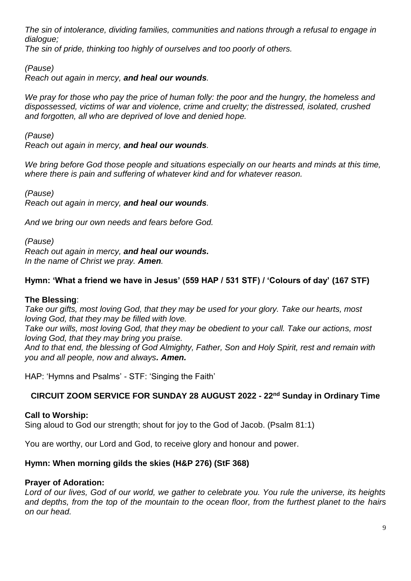*The sin of intolerance, dividing families, communities and nations through a refusal to engage in dialogue;*

*The sin of pride, thinking too highly of ourselves and too poorly of others.*

*(Pause)*

*Reach out again in mercy, and heal our wounds.*

*We pray for those who pay the price of human folly: the poor and the hungry, the homeless and dispossessed, victims of war and violence, crime and cruelty; the distressed, isolated, crushed and forgotten, all who are deprived of love and denied hope.*

*(Pause)*

*Reach out again in mercy, and heal our wounds.*

*We bring before God those people and situations especially on our hearts and minds at this time, where there is pain and suffering of whatever kind and for whatever reason.*

*(Pause) Reach out again in mercy, and heal our wounds.*

*And we bring our own needs and fears before God.*

*(Pause) Reach out again in mercy, and heal our wounds. In the name of Christ we pray. Amen.* 

### **Hymn: 'What a friend we have in Jesus' (559 HAP / 531 STF) / 'Colours of day' (167 STF)**

#### **The Blessing**:

*Take our gifts, most loving God, that they may be used for your glory. Take our hearts, most loving God, that they may be filled with love.* 

*Take our wills, most loving God, that they may be obedient to your call. Take our actions, most loving God, that they may bring you praise.*

*And to that end, the blessing of God Almighty, Father, Son and Holy Spirit, rest and remain with you and all people, now and always. Amen.*

HAP: 'Hymns and Psalms' - STF: 'Singing the Faith'

#### **CIRCUIT ZOOM SERVICE FOR SUNDAY 28 AUGUST 2022 - 22nd Sunday in Ordinary Time**

#### **Call to Worship:**

Sing aloud to God our strength; shout for joy to the God of Jacob. (Psalm 81:1)

You are worthy, our Lord and God, to receive glory and honour and power.

#### **Hymn: When morning gilds the skies (H&P 276) (StF 368)**

#### **Prayer of Adoration:**

*Lord of our lives, God of our world, we gather to celebrate you. You rule the universe, its heights and depths, from the top of the mountain to the ocean floor, from the furthest planet to the hairs on our head.*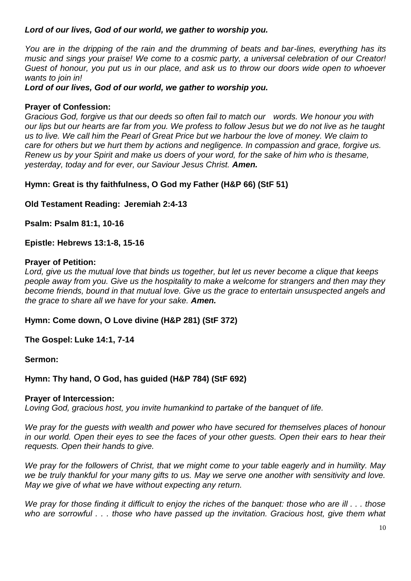### *Lord of our lives, God of our world, we gather to worship you.*

*You are in the dripping of the rain and the drumming of beats and bar-lines, everything has its music and sings your praise! We come to a cosmic party, a universal celebration of our Creator! Guest of honour, you put us in our place, and ask us to throw our doors wide open to whoever wants to join in!* 

*Lord of our lives, God of our world, we gather to worship you.*

### **Prayer of Confession:**

*Gracious God, forgive us that our deeds so often fail to match our words. We honour you with our lips but our hearts are far from you. We profess to follow Jesus but we do not live as he taught us to live. We call him the Pearl of Great Price but we harbour the love of money. We claim to care for others but we hurt them by actions and negligence. In compassion and grace, forgive us. Renew us by your Spirit and make us doers of your word, for the sake of him who is thesame, yesterday, today and for ever, our Saviour Jesus Christ. Amen.*

**Hymn: Great is thy faithfulness, O God my Father (H&P 66) (StF 51)**

**Old Testament Reading: Jeremiah 2:4-13**

**Psalm: Psalm 81:1, 10-16**

### **Epistle: Hebrews 13:1-8, 15-16**

#### **Prayer of Petition:**

*Lord, give us the mutual love that binds us together, but let us never become a clique that keeps people away from you. Give us the hospitality to make a welcome for strangers and then may they become friends, bound in that mutual love. Give us the grace to entertain unsuspected angels and the grace to share all we have for your sake. Amen.*

**Hymn: Come down, O Love divine (H&P 281) (StF 372)**

**The Gospel: Luke 14:1, 7-14**

#### **Sermon:**

### **Hymn: Thy hand, O God, has guided (H&P 784) (StF 692)**

#### **Prayer of Intercession:**

*Loving God, gracious host, you invite humankind to partake of the banquet of life.*

*We pray for the guests with wealth and power who have secured for themselves places of honour in our world. Open their eyes to see the faces of your other guests. Open their ears to hear their requests. Open their hands to give.*

*We pray for the followers of Christ, that we might come to your table eagerly and in humility. May we be truly thankful for your many gifts to us. May we serve one another with sensitivity and love. May we give of what we have without expecting any return.*

*We pray for those finding it difficult to enjoy the riches of the banquet: those who are ill . . . those who are sorrowful . . . those who have passed up the invitation. Gracious host, give them what*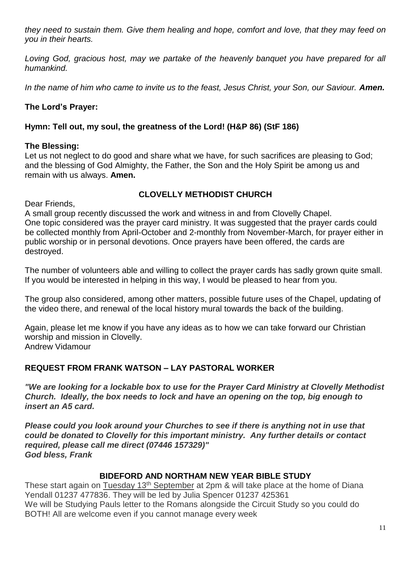*they need to sustain them. Give them healing and hope, comfort and love, that they may feed on you in their hearts.*

Loving God, gracious host, may we partake of the heavenly banquet you have prepared for all *humankind.*

In the name of him who came to invite us to the feast, Jesus Christ, your Son, our Saviour. **Amen.** 

### **The Lord's Prayer:**

### **Hymn: Tell out, my soul, the greatness of the Lord! (H&P 86) (StF 186)**

#### **The Blessing:**

Let us not neglect to do good and share what we have, for such sacrifices are pleasing to God; and the blessing of God Almighty, the Father, the Son and the Holy Spirit be among us and remain with us always. **Amen.**

#### **CLOVELLY METHODIST CHURCH**

Dear Friends,

A small group recently discussed the work and witness in and from Clovelly Chapel. One topic considered was the prayer card ministry. It was suggested that the prayer cards could be collected monthly from April-October and 2-monthly from November-March, for prayer either in public worship or in personal devotions. Once prayers have been offered, the cards are destroyed.

The number of volunteers able and willing to collect the prayer cards has sadly grown quite small. If you would be interested in helping in this way, I would be pleased to hear from you.

The group also considered, among other matters, possible future uses of the Chapel, updating of the video there, and renewal of the local history mural towards the back of the building.

Again, please let me know if you have any ideas as to how we can take forward our Christian worship and mission in Clovelly. Andrew Vidamour

### **REQUEST FROM FRANK WATSON – LAY PASTORAL WORKER**

*"We are looking for a lockable box to use for the Prayer Card Ministry at Clovelly Methodist Church. Ideally, the box needs to lock and have an opening on the top, big enough to insert an A5 card.*

*Please could you look around your Churches to see if there is anything not in use that could be donated to Clovelly for this important ministry. Any further details or contact required, please call me direct (07446 157329)" God bless, Frank*

#### **BIDEFORD AND NORTHAM NEW YEAR BIBLE STUDY**

These start again on Tuesday 13<sup>th</sup> September at 2pm & will take place at the home of Diana Yendall 01237 477836. They will be led by Julia Spencer 01237 425361 We will be Studying Pauls letter to the Romans alongside the Circuit Study so you could do BOTH! All are welcome even if you cannot manage every week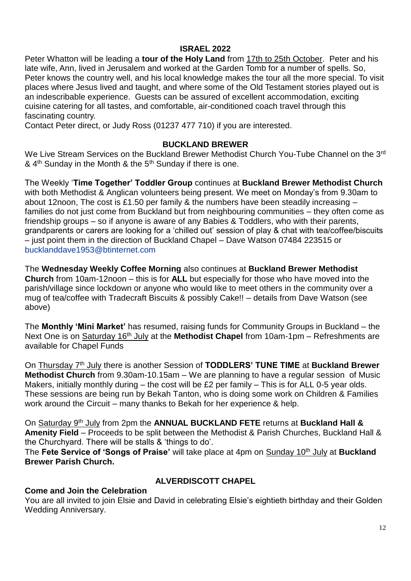### **ISRAEL 2022**

Peter Whatton will be leading a **tour of the Holy Land** from 17th to 25th October. Peter and his late wife, Ann, lived in Jerusalem and worked at the Garden Tomb for a number of spells. So, Peter knows the country well, and his local knowledge makes the tour all the more special. To visit places where Jesus lived and taught, and where some of the Old Testament stories played out is an indescribable experience. Guests can be assured of excellent accommodation, exciting cuisine catering for all tastes, and comfortable, air-conditioned coach travel through this fascinating country.

Contact Peter direct, or Judy Ross (01237 477 710) if you are interested.

### **BUCKLAND BREWER**

We Live Stream Services on the Buckland Brewer Methodist Church You-Tube Channel on the 3<sup>rd</sup> &  $4<sup>th</sup>$  Sunday in the Month & the  $5<sup>th</sup>$  Sunday if there is one.

The Weekly '**Time Together' Toddler Group** continues at **Buckland Brewer Methodist Church** with both Methodist & Anglican volunteers being present. We meet on Monday's from 9.30am to about 12noon, The cost is £1.50 per family & the numbers have been steadily increasing – families do not just come from Buckland but from neighbouring communities – they often come as friendship groups – so if anyone is aware of any Babies & Toddlers, who with their parents, grandparents or carers are looking for a 'chilled out' session of play & chat with tea/coffee/biscuits – just point them in the direction of Buckland Chapel – Dave Watson 07484 223515 or [bucklanddave1953@btinternet.com](mailto:bucklanddave1953@btinternet.com)

The **Wednesday Weekly Coffee Morning** also continues at **Buckland Brewer Methodist Church** from 10am-12noon – this is for **ALL** but especially for those who have moved into the parish/village since lockdown or anyone who would like to meet others in the community over a mug of tea/coffee with Tradecraft Biscuits & possibly Cake!! – details from Dave Watson (see above)

The **Monthly 'Mini Market'** has resumed, raising funds for Community Groups in Buckland – the Next One is on **Saturday 16<sup>th</sup> July** at the **Methodist Chapel** from 10am-1pm – Refreshments are available for Chapel Funds

On **Thursday 7<sup>th</sup> July** there is another Session of **TODDLERS' TUNE TIME** at **Buckland Brewer Methodist Church** from 9.30am-10.15am – We are planning to have a regular session of Music Makers, initially monthly during – the cost will be £2 per family – This is for ALL 0-5 year olds. These sessions are being run by Bekah Tanton, who is doing some work on Children & Families work around the Circuit – many thanks to Bekah for her experience & help.

On Saturday 9th July from 2pm the **ANNUAL BUCKLAND FETE** returns at **Buckland Hall & Amenity Field** – Proceeds to be split between the Methodist & Parish Churches, Buckland Hall & the Churchyard. There will be stalls & 'things to do'.

The **Fete Service of 'Songs of Praise'** will take place at 4pm on Sunday 10th July at **Buckland Brewer Parish Church.**

### **Come and Join the Celebration**

### **ALVERDISCOTT CHAPEL**

You are all invited to join Elsie and David in celebrating Elsie's eightieth birthday and their Golden Wedding Anniversary.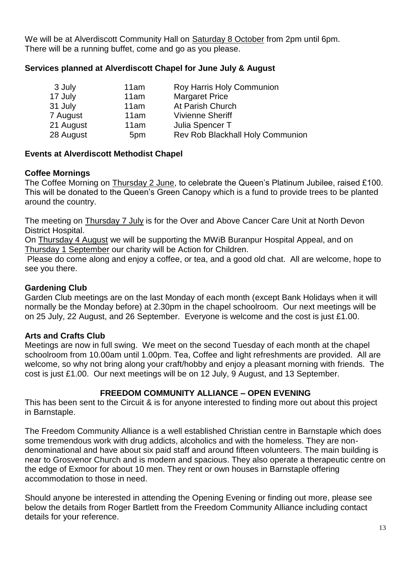We will be at Alverdiscott Community Hall on Saturday 8 October from 2pm until 6pm. There will be a running buffet, come and go as you please.

### **Services planned at Alverdiscott Chapel for June July & August**

| 3 July    | 11am | Roy Harris Holy Communion        |
|-----------|------|----------------------------------|
| 17 July   | 11am | <b>Margaret Price</b>            |
| 31 July   | 11am | At Parish Church                 |
| 7 August  | 11am | <b>Vivienne Sheriff</b>          |
| 21 August | 11am | Julia Spencer T                  |
| 28 August | 5pm  | Rev Rob Blackhall Holy Communion |

### **Events at Alverdiscott Methodist Chapel**

### **Coffee Mornings**

The Coffee Morning on Thursday 2 June, to celebrate the Queen's Platinum Jubilee, raised £100. This will be donated to the Queen's Green Canopy which is a fund to provide trees to be planted around the country.

The meeting on Thursday 7 July is for the Over and Above Cancer Care Unit at North Devon District Hospital.

On Thursday 4 August we will be supporting the MWiB Buranpur Hospital Appeal, and on Thursday 1 September our charity will be Action for Children.

Please do come along and enjoy a coffee, or tea, and a good old chat. All are welcome, hope to see you there.

### **Gardening Club**

Garden Club meetings are on the last Monday of each month (except Bank Holidays when it will normally be the Monday before) at 2.30pm in the chapel schoolroom. Our next meetings will be on 25 July, 22 August, and 26 September. Everyone is welcome and the cost is just £1.00.

### **Arts and Crafts Club**

Meetings are now in full swing. We meet on the second Tuesday of each month at the chapel schoolroom from 10.00am until 1.00pm. Tea, Coffee and light refreshments are provided. All are welcome, so why not bring along your craft/hobby and enjoy a pleasant morning with friends. The cost is just £1.00. Our next meetings will be on 12 July, 9 August, and 13 September.

### **FREEDOM COMMUNITY ALLIANCE – OPEN EVENING**

This has been sent to the Circuit & is for anyone interested to finding more out about this project in Barnstaple.

The Freedom Community Alliance is a well established Christian centre in Barnstaple which does some tremendous work with drug addicts, alcoholics and with the homeless. They are nondenominational and have about six paid staff and around fifteen volunteers. The main building is near to Grosvenor Church and is modern and spacious. They also operate a therapeutic centre on the edge of Exmoor for about 10 men. They rent or own houses in Barnstaple offering accommodation to those in need.

Should anyone be interested in attending the Opening Evening or finding out more, please see below the details from Roger Bartlett from the Freedom Community Alliance including contact details for your reference.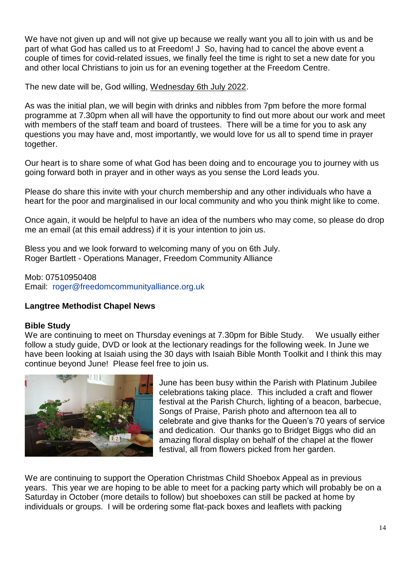We have not given up and will not give up because we really want you all to join with us and be part of what God has called us to at Freedom! J So, having had to cancel the above event a couple of times for covid-related issues, we finally feel the time is right to set a new date for you and other local Christians to join us for an evening together at the Freedom Centre.

The new date will be, God willing, Wednesday 6th July 2022.

As was the initial plan, we will begin with drinks and nibbles from 7pm before the more formal programme at 7.30pm when all will have the opportunity to find out more about our work and meet with members of the staff team and board of trustees. There will be a time for you to ask any questions you may have and, most importantly, we would love for us all to spend time in prayer together.

Our heart is to share some of what God has been doing and to encourage you to journey with us going forward both in prayer and in other ways as you sense the Lord leads you.

Please do share this invite with your church membership and any other individuals who have a heart for the poor and marginalised in our local community and who you think might like to come.

Once again, it would be helpful to have an idea of the numbers who may come, so please do drop me an email (at this email address) if it is your intention to join us.

Bless you and we look forward to welcoming many of you on 6th July. Roger Bartlett - Operations Manager, Freedom Community Alliance

Mob: 07510950408 Email: [roger@freedomcommunityalliance.org.uk](mailto:roger@freedomcommunityalliance.org.uk)

### **Langtree Methodist Chapel News**

#### **Bible Study**

We are continuing to meet on Thursday evenings at 7.30pm for Bible Study. We usually either follow a study guide, DVD or look at the lectionary readings for the following week. In June we have been looking at Isaiah using the 30 days with Isaiah Bible Month Toolkit and I think this may continue beyond June! Please feel free to join us.



June has been busy within the Parish with Platinum Jubilee celebrations taking place. This included a craft and flower festival at the Parish Church, lighting of a beacon, barbecue, Songs of Praise, Parish photo and afternoon tea all to celebrate and give thanks for the Queen's 70 years of service and dedication. Our thanks go to Bridget Biggs who did an amazing floral display on behalf of the chapel at the flower festival, all from flowers picked from her garden.

We are continuing to support the Operation Christmas Child Shoebox Appeal as in previous years. This year we are hoping to be able to meet for a packing party which will probably be on a Saturday in October (more details to follow) but shoeboxes can still be packed at home by individuals or groups. I will be ordering some flat-pack boxes and leaflets with packing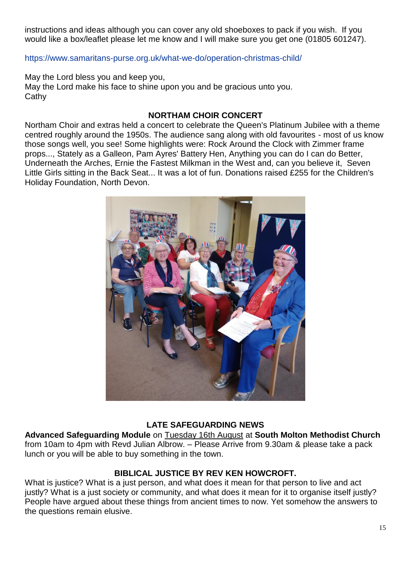instructions and ideas although you can cover any old shoeboxes to pack if you wish. If you would like a box/leaflet please let me know and I will make sure you get one (01805 601247).

<https://www.samaritans-purse.org.uk/what-we-do/operation-christmas-child/>

May the Lord bless you and keep you, May the Lord make his face to shine upon you and be gracious unto you. **Cathy** 

### **NORTHAM CHOIR CONCERT**

Northam Choir and extras held a concert to celebrate the Queen's Platinum Jubilee with a theme centred roughly around the 1950s. The audience sang along with old favourites - most of us know those songs well, you see! Some highlights were: Rock Around the Clock with Zimmer frame props..., Stately as a Galleon, Pam Ayres' Battery Hen, Anything you can do I can do Better, Underneath the Arches, Ernie the Fastest Milkman in the West and, can you believe it, Seven Little Girls sitting in the Back Seat... It was a lot of fun. Donations raised £255 for the Children's Holiday Foundation, North Devon.



### **LATE SAFEGUARDING NEWS**

**Advanced Safeguarding Module** on Tuesday 16th August at **South Molton Methodist Church** from 10am to 4pm with Revd Julian Albrow. – Please Arrive from 9.30am & please take a pack lunch or you will be able to buy something in the town.

#### **BIBLICAL JUSTICE BY REV KEN HOWCROFT.**

What is justice? What is a just person, and what does it mean for that person to live and act justly? What is a just society or community, and what does it mean for it to organise itself justly? People have argued about these things from ancient times to now. Yet somehow the answers to the questions remain elusive.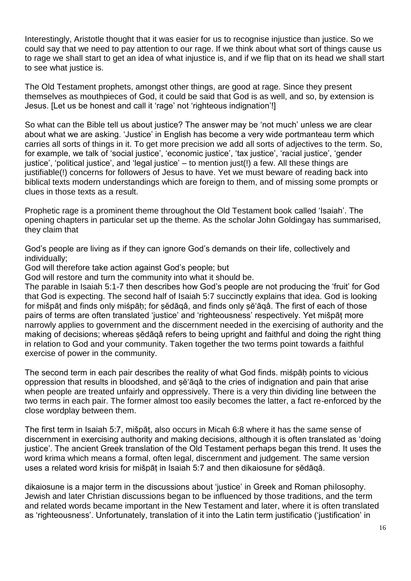Interestingly, Aristotle thought that it was easier for us to recognise injustice than justice. So we could say that we need to pay attention to our rage. If we think about what sort of things cause us to rage we shall start to get an idea of what injustice is, and if we flip that on its head we shall start to see what justice is.

The Old Testament prophets, amongst other things, are good at rage. Since they present themselves as mouthpieces of God, it could be said that God is as well, and so, by extension is Jesus. [Let us be honest and call it 'rage' not 'righteous indignation'!]

So what can the Bible tell us about justice? The answer may be 'not much' unless we are clear about what we are asking. 'Justice' in English has become a very wide portmanteau term which carries all sorts of things in it. To get more precision we add all sorts of adjectives to the term. So, for example, we talk of 'social justice', 'economic justice', 'tax justice', 'racial justice', 'gender justice', 'political justice', and 'legal justice' – to mention just(!) a few. All these things are justifiable(!) concerns for followers of Jesus to have. Yet we must beware of reading back into biblical texts modern understandings which are foreign to them, and of missing some prompts or clues in those texts as a result.

Prophetic rage is a prominent theme throughout the Old Testament book called 'Isaiah'. The opening chapters in particular set up the theme. As the scholar John Goldingay has summarised, they claim that

God's people are living as if they can ignore God's demands on their life, collectively and individually;

God will therefore take action against God's people; but

God will restore and turn the community into what it should be.

The parable in Isaiah 5:1-7 then describes how God's people are not producing the 'fruit' for God that God is expecting. The second half of Isaiah 5:7 succinctly explains that idea. God is looking for mišpāṭ and finds only miśpāḥ; for ṣĕdāqâ, and finds only ṣĕ'āqâ. The first of each of those pairs of terms are often translated 'justice' and 'righteousness' respectively. Yet mišpāṭ more narrowly applies to government and the discernment needed in the exercising of authority and the making of decisions; whereas sĕdāqâ refers to being upright and faithful and doing the right thing in relation to God and your community. Taken together the two terms point towards a faithful exercise of power in the community.

The second term in each pair describes the reality of what God finds. miśpāh points to vicious oppression that results in bloodshed, and se<sup>o</sup> aga to the cries of indignation and pain that arise when people are treated unfairly and oppressively. There is a very thin dividing line between the two terms in each pair. The former almost too easily becomes the latter, a fact re-enforced by the close wordplay between them.

The first term in Isaiah 5:7, mišpāṭ, also occurs in Micah 6:8 where it has the same sense of discernment in exercising authority and making decisions, although it is often translated as 'doing justice'. The ancient Greek translation of the Old Testament perhaps began this trend. It uses the word krima which means a formal, often legal, discernment and judgement. The same version uses a related word krisis for mišpāṭ in Isaiah 5:7 and then dikaiosune for ṣĕdāqâ.

dikaiosune is a major term in the discussions about 'justice' in Greek and Roman philosophy. Jewish and later Christian discussions began to be influenced by those traditions, and the term and related words became important in the New Testament and later, where it is often translated as 'righteousness'. Unfortunately, translation of it into the Latin term justificatio ('justification' in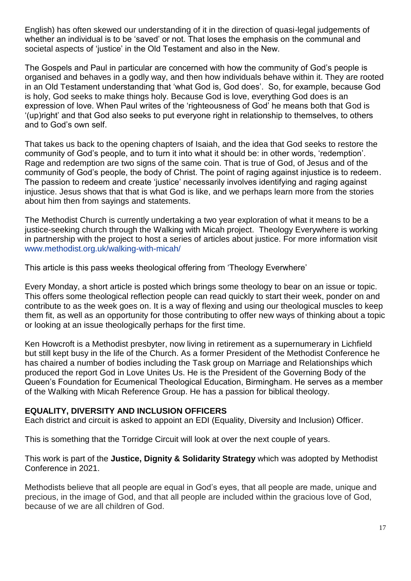English) has often skewed our understanding of it in the direction of quasi-legal judgements of whether an individual is to be 'saved' or not. That loses the emphasis on the communal and societal aspects of 'justice' in the Old Testament and also in the New.

The Gospels and Paul in particular are concerned with how the community of God's people is organised and behaves in a godly way, and then how individuals behave within it. They are rooted in an Old Testament understanding that 'what God is, God does'. So, for example, because God is holy, God seeks to make things holy. Because God is love, everything God does is an expression of love. When Paul writes of the 'righteousness of God' he means both that God is '(up)right' and that God also seeks to put everyone right in relationship to themselves, to others and to God's own self.

That takes us back to the opening chapters of Isaiah, and the idea that God seeks to restore the community of God's people, and to turn it into what it should be: in other words, 'redemption'. Rage and redemption are two signs of the same coin. That is true of God, of Jesus and of the community of God's people, the body of Christ. The point of raging against injustice is to redeem. The passion to redeem and create 'justice' necessarily involves identifying and raging against injustice. Jesus shows that that is what God is like, and we perhaps learn more from the stories about him then from sayings and statements.

The Methodist Church is currently undertaking a two year exploration of what it means to be a justice-seeking church through the Walking with Micah project. Theology Everywhere is working in partnership with the project to host a series of articles about justice. For more information visit [www.methodist.org.uk/walking-with-micah/](http://www.methodist.org.uk/walking-with-micah/)

This article is this pass weeks theological offering from 'Theology Everwhere'

Every Monday, a short article is posted which brings some theology to bear on an issue or topic. This offers some theological reflection people can read quickly to start their week, ponder on and contribute to as the week goes on. It is a way of flexing and using our theological muscles to keep them fit, as well as an opportunity for those contributing to offer new ways of thinking about a topic or looking at an issue theologically perhaps for the first time.

Ken Howcroft is a Methodist presbyter, now living in retirement as a supernumerary in Lichfield but still kept busy in the life of the Church. As a former President of the Methodist Conference he has chaired a number of bodies including the Task group on Marriage and Relationships which produced the report God in Love Unites Us. He is the President of the Governing Body of the Queen's Foundation for Ecumenical Theological Education, Birmingham. He serves as a member of the Walking with Micah Reference Group. He has a passion for biblical theology.

### **EQUALITY, DIVERSITY AND INCLUSION OFFICERS**

Each district and circuit is asked to appoint an EDI (Equality, Diversity and Inclusion) Officer.

This is something that the Torridge Circuit will look at over the next couple of years.

This work is part of the **Justice, Dignity & Solidarity Strategy** which was adopted by Methodist Conference in 2021.

Methodists believe that all people are equal in God's eyes, that all people are made, unique and precious, in the image of God, and that all people are included within the gracious love of God, because of we are all children of God.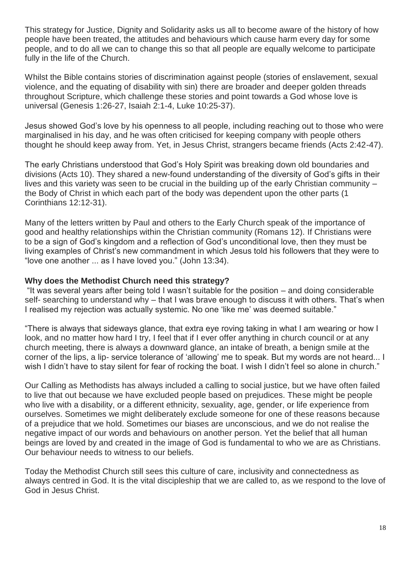This strategy for Justice, Dignity and Solidarity asks us all to become aware of the history of how people have been treated, the attitudes and behaviours which cause harm every day for some people, and to do all we can to change this so that all people are equally welcome to participate fully in the life of the Church.

Whilst the Bible contains stories of discrimination against people (stories of enslavement, sexual violence, and the equating of disability with sin) there are broader and deeper golden threads throughout Scripture, which challenge these stories and point towards a God whose love is universal (Genesis 1:26-27, Isaiah 2:1-4, Luke 10:25-37).

Jesus showed God's love by his openness to all people, including reaching out to those who were marginalised in his day, and he was often criticised for keeping company with people others thought he should keep away from. Yet, in Jesus Christ, strangers became friends (Acts 2:42-47).

The early Christians understood that God's Holy Spirit was breaking down old boundaries and divisions (Acts 10). They shared a new-found understanding of the diversity of God's gifts in their lives and this variety was seen to be crucial in the building up of the early Christian community – the Body of Christ in which each part of the body was dependent upon the other parts (1 Corinthians 12:12-31).

Many of the letters written by Paul and others to the Early Church speak of the importance of good and healthy relationships within the Christian community (Romans 12). If Christians were to be a sign of God's kingdom and a reflection of God's unconditional love, then they must be living examples of Christ's new commandment in which Jesus told his followers that they were to "love one another ... as I have loved you." (John 13:34).

#### **Why does the Methodist Church need this strategy?**

"It was several years after being told I wasn't suitable for the position – and doing considerable self- searching to understand why – that I was brave enough to discuss it with others. That's when I realised my rejection was actually systemic. No one 'like me' was deemed suitable."

"There is always that sideways glance, that extra eye roving taking in what I am wearing or how I look, and no matter how hard I try, I feel that if I ever offer anything in church council or at any church meeting, there is always a downward glance, an intake of breath, a benign smile at the corner of the lips, a lip- service tolerance of 'allowing' me to speak. But my words are not heard... I wish I didn't have to stay silent for fear of rocking the boat. I wish I didn't feel so alone in church."

Our Calling as Methodists has always included a calling to social justice, but we have often failed to live that out because we have excluded people based on prejudices. These might be people who live with a disability, or a different ethnicity, sexuality, age, gender, or life experience from ourselves. Sometimes we might deliberately exclude someone for one of these reasons because of a prejudice that we hold. Sometimes our biases are unconscious, and we do not realise the negative impact of our words and behaviours on another person. Yet the belief that all human beings are loved by and created in the image of God is fundamental to who we are as Christians. Our behaviour needs to witness to our beliefs.

Today the Methodist Church still sees this culture of care, inclusivity and connectedness as always centred in God. It is the vital discipleship that we are called to, as we respond to the love of God in Jesus Christ.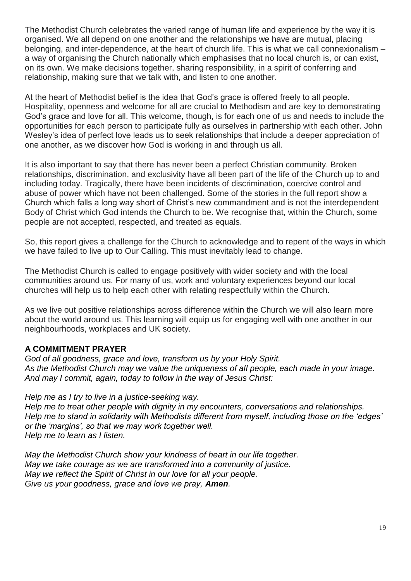The Methodist Church celebrates the varied range of human life and experience by the way it is organised. We all depend on one another and the relationships we have are mutual, placing belonging, and inter-dependence, at the heart of church life. This is what we call connexionalism – a way of organising the Church nationally which emphasises that no local church is, or can exist, on its own. We make decisions together, sharing responsibility, in a spirit of conferring and relationship, making sure that we talk with, and listen to one another.

At the heart of Methodist belief is the idea that God's grace is offered freely to all people. Hospitality, openness and welcome for all are crucial to Methodism and are key to demonstrating God's grace and love for all. This welcome, though, is for each one of us and needs to include the opportunities for each person to participate fully as ourselves in partnership with each other. John Wesley's idea of perfect love leads us to seek relationships that include a deeper appreciation of one another, as we discover how God is working in and through us all.

It is also important to say that there has never been a perfect Christian community. Broken relationships, discrimination, and exclusivity have all been part of the life of the Church up to and including today. Tragically, there have been incidents of discrimination, coercive control and abuse of power which have not been challenged. Some of the stories in the full report show a Church which falls a long way short of Christ's new commandment and is not the interdependent Body of Christ which God intends the Church to be. We recognise that, within the Church, some people are not accepted, respected, and treated as equals.

So, this report gives a challenge for the Church to acknowledge and to repent of the ways in which we have failed to live up to Our Calling. This must inevitably lead to change.

The Methodist Church is called to engage positively with wider society and with the local communities around us. For many of us, work and voluntary experiences beyond our local churches will help us to help each other with relating respectfully within the Church.

As we live out positive relationships across difference within the Church we will also learn more about the world around us. This learning will equip us for engaging well with one another in our neighbourhoods, workplaces and UK society.

#### **A COMMITMENT PRAYER**

*God of all goodness, grace and love, transform us by your Holy Spirit. As the Methodist Church may we value the uniqueness of all people, each made in your image. And may I commit, again, today to follow in the way of Jesus Christ:*

*Help me as I try to live in a justice-seeking way. Help me to treat other people with dignity in my encounters, conversations and relationships. Help me to stand in solidarity with Methodists different from myself, including those on the 'edges' or the 'margins', so that we may work together well. Help me to learn as I listen.*

*May the Methodist Church show your kindness of heart in our life together. May we take courage as we are transformed into a community of justice. May we reflect the Spirit of Christ in our love for all your people. Give us your goodness, grace and love we pray, Amen.*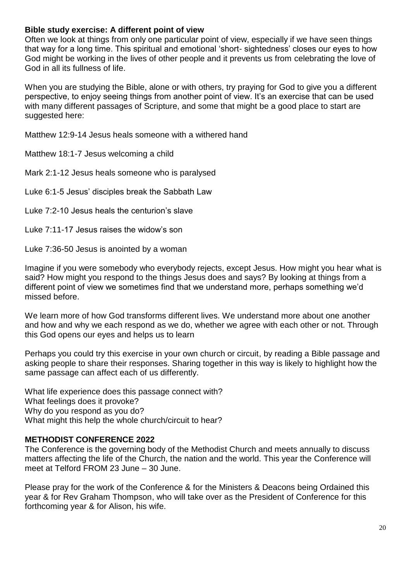### **Bible study exercise: A different point of view**

Often we look at things from only one particular point of view, especially if we have seen things that way for a long time. This spiritual and emotional 'short- sightedness' closes our eyes to how God might be working in the lives of other people and it prevents us from celebrating the love of God in all its fullness of life.

When you are studying the Bible, alone or with others, try praying for God to give you a different perspective, to enjoy seeing things from another point of view. It's an exercise that can be used with many different passages of Scripture, and some that might be a good place to start are suggested here:

Matthew 12:9-14 Jesus heals someone with a withered hand

Matthew 18:1-7 Jesus welcoming a child

Mark 2:1-12 Jesus heals someone who is paralysed

Luke 6:1-5 Jesus' disciples break the Sabbath Law

Luke 7:2-10 Jesus heals the centurion's slave

Luke 7:11-17 Jesus raises the widow's son

Luke 7:36-50 Jesus is anointed by a woman

Imagine if you were somebody who everybody rejects, except Jesus. How might you hear what is said? How might you respond to the things Jesus does and says? By looking at things from a different point of view we sometimes find that we understand more, perhaps something we'd missed before.

We learn more of how God transforms different lives. We understand more about one another and how and why we each respond as we do, whether we agree with each other or not. Through this God opens our eyes and helps us to learn

Perhaps you could try this exercise in your own church or circuit, by reading a Bible passage and asking people to share their responses. Sharing together in this way is likely to highlight how the same passage can affect each of us differently.

What life experience does this passage connect with? What feelings does it provoke? Why do you respond as you do? What might this help the whole church/circuit to hear?

### **METHODIST CONFERENCE 2022**

The Conference is the governing body of the Methodist Church and meets annually to discuss matters affecting the life of the Church, the nation and the world. This year the Conference will meet at Telford FROM 23 June – 30 June.

Please pray for the work of the Conference & for the Ministers & Deacons being Ordained this year & for Rev Graham Thompson, who will take over as the President of Conference for this forthcoming year & for Alison, his wife.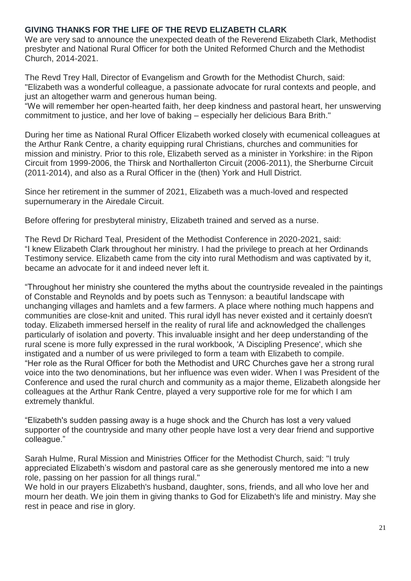### **GIVING THANKS FOR THE LIFE OF THE REVD ELIZABETH CLARK**

We are very sad to announce the unexpected death of the Reverend Elizabeth Clark, Methodist presbyter and National Rural Officer for both the United Reformed Church and the Methodist Church, 2014-2021.

The Revd Trey Hall, Director of Evangelism and Growth for the Methodist Church, said: "Elizabeth was a wonderful colleague, a passionate advocate for rural contexts and people, and just an altogether warm and generous human being.

"We will remember her open-hearted faith, her deep kindness and pastoral heart, her unswerving commitment to justice, and her love of baking – especially her delicious Bara Brith."

During her time as National Rural Officer Elizabeth worked closely with ecumenical colleagues at the Arthur Rank Centre, a charity equipping rural Christians, churches and communities for mission and ministry. Prior to this role, Elizabeth served as a minister in Yorkshire: in the Ripon Circuit from 1999-2006, the Thirsk and Northallerton Circuit (2006-2011), the Sherburne Circuit (2011-2014), and also as a Rural Officer in the (then) York and Hull District.

Since her retirement in the summer of 2021, Elizabeth was a much-loved and respected supernumerary in the Airedale Circuit.

Before offering for presbyteral ministry, Elizabeth trained and served as a nurse.

The Revd Dr Richard Teal, President of the Methodist Conference in 2020-2021, said: "I knew Elizabeth Clark throughout her ministry. I had the privilege to preach at her Ordinands Testimony service. Elizabeth came from the city into rural Methodism and was captivated by it, became an advocate for it and indeed never left it.

"Throughout her ministry she countered the myths about the countryside revealed in the paintings of Constable and Reynolds and by poets such as Tennyson: a beautiful landscape with unchanging villages and hamlets and a few farmers. A place where nothing much happens and communities are close-knit and united. This rural idyll has never existed and it certainly doesn't today. Elizabeth immersed herself in the reality of rural life and acknowledged the challenges particularly of isolation and poverty. This invaluable insight and her deep understanding of the rural scene is more fully expressed in the rural workbook, 'A Discipling Presence', which she instigated and a number of us were privileged to form a team with Elizabeth to compile. "Her role as the Rural Officer for both the Methodist and URC Churches gave her a strong rural voice into the two denominations, but her influence was even wider. When I was President of the Conference and used the rural church and community as a major theme, Elizabeth alongside her colleagues at the Arthur Rank Centre, played a very supportive role for me for which I am extremely thankful.

"Elizabeth's sudden passing away is a huge shock and the Church has lost a very valued supporter of the countryside and many other people have lost a very dear friend and supportive colleague."

Sarah Hulme, Rural Mission and Ministries Officer for the Methodist Church, said: "I truly appreciated Elizabeth's wisdom and pastoral care as she generously mentored me into a new role, passing on her passion for all things rural."

We hold in our prayers Elizabeth's husband, daughter, sons, friends, and all who love her and mourn her death. We join them in giving thanks to God for Elizabeth's life and ministry. May she rest in peace and rise in glory.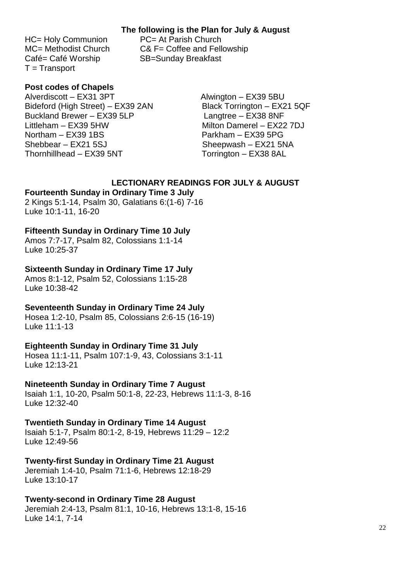#### **The following is the Plan for July & August**

HC= Holy Communion PC= At Parish Church Café= Café Worship SB=Sunday Breakfast T = Transport

MC= Methodist Church C& F= Coffee and Fellowship

### **Post codes of Chapels**

Alverdiscott – EX31 3PT Alwington – EX39 5BU Bideford (High Street) – EX39 2AN Black Torrington – EX21 5QF Buckland Brewer – EX39 5LP Langtree – EX38 8NF Littleham – EX39 5HW Milton Damerel – EX22 7DJ Northam – EX39 1BS Parkham – EX39 5PG Shebbear – EX21 5SJ Sheepwash – EX21 5NA Thornhillhead – EX39 5NT Torrington – EX38 8AL

### **LECTIONARY READINGS FOR JULY & AUGUST**

#### **Fourteenth Sunday in Ordinary Time 3 July**

2 Kings 5:1-14, Psalm 30, Galatians 6:(1-6) 7-16 Luke 10:1-11, 16-20

#### **Fifteenth Sunday in Ordinary Time 10 July**

Amos 7:7-17, Psalm 82, Colossians 1:1-14 Luke 10:25-37

#### **Sixteenth Sunday in Ordinary Time 17 July**

Amos 8:1-12, Psalm 52, Colossians 1:15-28 Luke 10:38-42

#### **Seventeenth Sunday in Ordinary Time 24 July**

Hosea 1:2-10, Psalm 85, Colossians 2:6-15 (16-19) Luke 11:1-13

#### **Eighteenth Sunday in Ordinary Time 31 July**

Hosea 11:1-11, Psalm 107:1-9, 43, Colossians 3:1-11 Luke 12:13-21

#### **Nineteenth Sunday in Ordinary Time 7 August**

Isaiah 1:1, 10-20, Psalm 50:1-8, 22-23, Hebrews 11:1-3, 8-16 Luke 12:32-40

#### **Twentieth Sunday in Ordinary Time 14 August**

Isaiah 5:1-7, Psalm 80:1-2, 8-19, Hebrews 11:29 – 12:2 Luke 12:49-56

### **Twenty-first Sunday in Ordinary Time 21 August**

Jeremiah 1:4-10, Psalm 71:1-6, Hebrews 12:18-29 Luke 13:10-17

#### **Twenty-second in Ordinary Time 28 August**

Jeremiah 2:4-13, Psalm 81:1, 10-16, Hebrews 13:1-8, 15-16 Luke 14:1, 7-14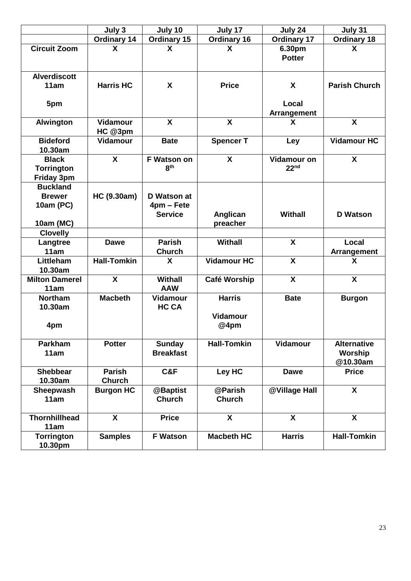|                                                        | July 3                         | July 10                                     | July 17                                  | July 24                                | July 31                                   |
|--------------------------------------------------------|--------------------------------|---------------------------------------------|------------------------------------------|----------------------------------------|-------------------------------------------|
|                                                        | <b>Ordinary 14</b>             | <b>Ordinary 15</b>                          | <b>Ordinary 16</b>                       | <b>Ordinary 17</b>                     | <b>Ordinary 18</b>                        |
| <b>Circuit Zoom</b>                                    | X                              | X                                           | X                                        | 6.30pm<br><b>Potter</b>                | X                                         |
| <b>Alverdiscott</b><br>11am                            | <b>Harris HC</b>               | X                                           | <b>Price</b>                             | X                                      | <b>Parish Church</b>                      |
| 5pm                                                    |                                |                                             |                                          | Local<br><b>Arrangement</b>            |                                           |
| <b>Alwington</b>                                       | Vidamour<br>HC @3pm            | $\mathbf{x}$                                | $\mathbf x$                              | X                                      | $\boldsymbol{\mathsf{X}}$                 |
| <b>Bideford</b><br>10.30am                             | <b>Vidamour</b>                | <b>Bate</b>                                 | <b>Spencer T</b>                         | Ley                                    | <b>Vidamour HC</b>                        |
| <b>Black</b><br><b>Torrington</b><br><b>Friday 3pm</b> | X                              | <b>F Watson on</b><br>8 <sup>th</sup>       | $\boldsymbol{\mathsf{X}}$                | <b>Vidamour on</b><br>22 <sup>nd</sup> | X                                         |
| <b>Buckland</b><br><b>Brewer</b><br>10am (PC)          | HC (9.30am)                    | D Watson at<br>4pm - Fete<br><b>Service</b> | Anglican                                 | <b>Withall</b>                         | <b>D</b> Watson                           |
| 10am (MC)                                              |                                |                                             | preacher                                 |                                        |                                           |
| <b>Clovelly</b>                                        |                                |                                             |                                          |                                        |                                           |
| Langtree<br>11am                                       | <b>Dawe</b>                    | <b>Parish</b><br><b>Church</b>              | <b>Withall</b>                           | $\boldsymbol{\mathsf{X}}$              | Local<br><b>Arrangement</b>               |
| Littleham<br>10.30am                                   | <b>Hall-Tomkin</b>             | X                                           | <b>Vidamour HC</b>                       | $\boldsymbol{\mathsf{X}}$              | X                                         |
| <b>Milton Damerel</b><br>11am                          | $\boldsymbol{\mathsf{X}}$      | <b>Withall</b><br><b>AAW</b>                | Café Worship                             | $\boldsymbol{\mathsf{X}}$              | $\boldsymbol{\mathsf{X}}$                 |
| <b>Northam</b><br>10.30am<br>4pm                       | <b>Macbeth</b>                 | Vidamour<br><b>HC CA</b>                    | <b>Harris</b><br><b>Vidamour</b><br>@4pm | <b>Bate</b>                            | <b>Burgon</b>                             |
| Parkham<br>11am                                        | <b>Potter</b>                  | <b>Sunday</b><br><b>Breakfast</b>           | <b>Hall-Tomkin</b>                       | <b>Vidamour</b>                        | <b>Alternative</b><br>Worship<br>@10.30am |
| <b>Shebbear</b><br>10.30am                             | <b>Parish</b><br><b>Church</b> | C&F                                         | Ley HC                                   | <b>Dawe</b>                            | <b>Price</b>                              |
| Sheepwash<br>11am                                      | <b>Burgon HC</b>               | @Baptist<br><b>Church</b>                   | @Parish<br><b>Church</b>                 | @Village Hall                          | $\mathsf{X}$                              |
| <b>Thornhillhead</b><br>11am                           | $\boldsymbol{\mathsf{X}}$      | <b>Price</b>                                | $\boldsymbol{X}$                         | $\boldsymbol{\mathsf{X}}$              | X                                         |
| <b>Torrington</b><br>10.30pm                           | <b>Samples</b>                 | <b>F Watson</b>                             | <b>Macbeth HC</b>                        | <b>Harris</b>                          | <b>Hall-Tomkin</b>                        |